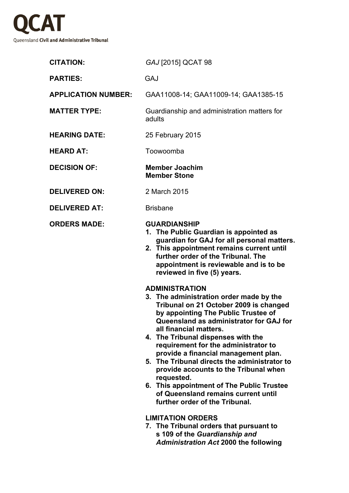

| <b>CITATION:</b>           | GAJ [2015] QCAT 98                                                                                                                                                                                                                                                                                                                                                                                                                                                                                                                                                                                                                                                                                                                                                                                                                                                                                                          |
|----------------------------|-----------------------------------------------------------------------------------------------------------------------------------------------------------------------------------------------------------------------------------------------------------------------------------------------------------------------------------------------------------------------------------------------------------------------------------------------------------------------------------------------------------------------------------------------------------------------------------------------------------------------------------------------------------------------------------------------------------------------------------------------------------------------------------------------------------------------------------------------------------------------------------------------------------------------------|
| <b>PARTIES:</b>            | <b>GAJ</b>                                                                                                                                                                                                                                                                                                                                                                                                                                                                                                                                                                                                                                                                                                                                                                                                                                                                                                                  |
| <b>APPLICATION NUMBER:</b> | GAA11008-14; GAA11009-14; GAA1385-15                                                                                                                                                                                                                                                                                                                                                                                                                                                                                                                                                                                                                                                                                                                                                                                                                                                                                        |
| <b>MATTER TYPE:</b>        | Guardianship and administration matters for<br>adults                                                                                                                                                                                                                                                                                                                                                                                                                                                                                                                                                                                                                                                                                                                                                                                                                                                                       |
| <b>HEARING DATE:</b>       | 25 February 2015                                                                                                                                                                                                                                                                                                                                                                                                                                                                                                                                                                                                                                                                                                                                                                                                                                                                                                            |
| <b>HEARD AT:</b>           | Toowoomba                                                                                                                                                                                                                                                                                                                                                                                                                                                                                                                                                                                                                                                                                                                                                                                                                                                                                                                   |
| <b>DECISION OF:</b>        | <b>Member Joachim</b><br><b>Member Stone</b>                                                                                                                                                                                                                                                                                                                                                                                                                                                                                                                                                                                                                                                                                                                                                                                                                                                                                |
| <b>DELIVERED ON:</b>       | 2 March 2015                                                                                                                                                                                                                                                                                                                                                                                                                                                                                                                                                                                                                                                                                                                                                                                                                                                                                                                |
| <b>DELIVERED AT:</b>       | <b>Brisbane</b>                                                                                                                                                                                                                                                                                                                                                                                                                                                                                                                                                                                                                                                                                                                                                                                                                                                                                                             |
| <b>ORDERS MADE:</b>        | <b>GUARDIANSHIP</b><br>1. The Public Guardian is appointed as<br>guardian for GAJ for all personal matters.<br>2. This appointment remains current until<br>further order of the Tribunal. The<br>appointment is reviewable and is to be<br>reviewed in five (5) years.<br><b>ADMINISTRATION</b><br>3. The administration order made by the<br>Tribunal on 21 October 2009 is changed<br>by appointing The Public Trustee of<br>Queensland as administrator for GAJ for<br>all financial matters.<br>4. The Tribunal dispenses with the<br>requirement for the administrator to<br>provide a financial management plan.<br>5. The Tribunal directs the administrator to<br>provide accounts to the Tribunal when<br>requested.<br>6. This appointment of The Public Trustee<br>of Queensland remains current until<br>further order of the Tribunal.<br><b>LIMITATION ORDERS</b><br>7. The Tribunal orders that pursuant to |
|                            | s 109 of the Guardianship and<br><b>Administration Act 2000 the following</b>                                                                                                                                                                                                                                                                                                                                                                                                                                                                                                                                                                                                                                                                                                                                                                                                                                               |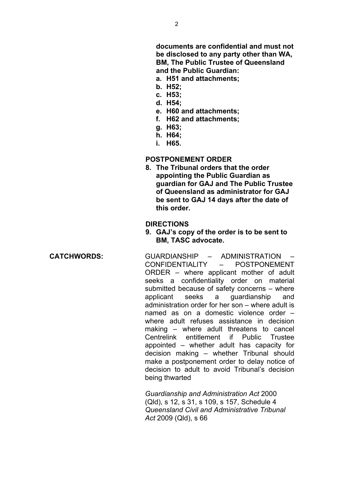**documents are confidential and must not be disclosed to any party other than WA, BM, The Public Trustee of Queensland and the Public Guardian:**

- **a. H51 and attachments;**
- **b. H52;**
- **c. H53;**
- **d. H54;**
- **e. H60 and attachments;**
- **f. H62 and attachments;**
- **g. H63;**
- **h. H64;**
- **i. H65.**

## **POSTPONEMENT ORDER**

**8. The Tribunal orders that the order appointing the Public Guardian as guardian for GAJ and The Public Trustee of Queensland as administrator for GAJ be sent to GAJ 14 days after the date of this order.**

### **DIRECTIONS**

**9. GAJ's copy of the order is to be sent to BM, TASC advocate.**

**CATCHWORDS:** GUARDIANSHIP – ADMINISTRATION – CONFIDENTIALITY – POSTPONEMENT ORDER – where applicant mother of adult seeks a confidentiality order on material submitted because of safety concerns – where applicant seeks a guardianship and administration order for her son – where adult is named as on a domestic violence order – where adult refuses assistance in decision making – where adult threatens to cancel Centrelink entitlement if Public Trustee appointed – whether adult has capacity for decision making – whether Tribunal should make a postponement order to delay notice of decision to adult to avoid Tribunal's decision being thwarted

> *Guardianship and Administration Act* 2000 (Qld), s 12, s 31, s 109, s 157, Schedule 4 *Queensland Civil and Administrative Tribunal Act* 2009 (Qld), s 66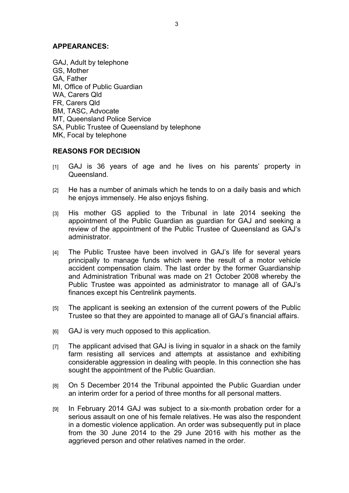# **APPEARANCES:**

GAJ, Adult by telephone GS, Mother GA, Father MI, Office of Public Guardian WA, Carers Qld FR, Carers Qld BM, TASC, Advocate MT, Queensland Police Service SA, Public Trustee of Queensland by telephone MK, Focal by telephone

# **REASONS FOR DECISION**

- [1] GAJ is 36 years of age and he lives on his parents' property in Queensland.
- [2] He has a number of animals which he tends to on a daily basis and which he enjoys immensely. He also enjoys fishing.
- [3] His mother GS applied to the Tribunal in late 2014 seeking the appointment of the Public Guardian as guardian for GAJ and seeking a review of the appointment of the Public Trustee of Queensland as GAJ's administrator.
- [4] The Public Trustee have been involved in GAJ's life for several years principally to manage funds which were the result of a motor vehicle accident compensation claim. The last order by the former Guardianship and Administration Tribunal was made on 21 October 2008 whereby the Public Trustee was appointed as administrator to manage all of GAJ's finances except his Centrelink payments.
- [5] The applicant is seeking an extension of the current powers of the Public Trustee so that they are appointed to manage all of GAJ's financial affairs.
- [6] GAJ is very much opposed to this application.
- [7] The applicant advised that GAJ is living in squalor in a shack on the family farm resisting all services and attempts at assistance and exhibiting considerable aggression in dealing with people. In this connection she has sought the appointment of the Public Guardian.
- [8] On 5 December 2014 the Tribunal appointed the Public Guardian under an interim order for a period of three months for all personal matters.
- [9] In February 2014 GAJ was subject to a six-month probation order for a serious assault on one of his female relatives. He was also the respondent in a domestic violence application. An order was subsequently put in place from the 30 June 2014 to the 29 June 2016 with his mother as the aggrieved person and other relatives named in the order.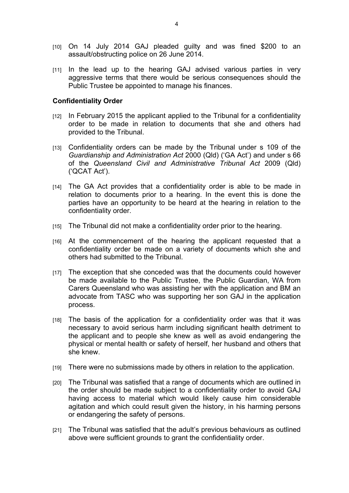- [10] On 14 July 2014 GAJ pleaded guilty and was fined \$200 to an assault/obstructing police on 26 June 2014.
- [11] In the lead up to the hearing GAJ advised various parties in very aggressive terms that there would be serious consequences should the Public Trustee be appointed to manage his finances.

## **Confidentiality Order**

- [12] In February 2015 the applicant applied to the Tribunal for a confidentiality order to be made in relation to documents that she and others had provided to the Tribunal.
- [13] Confidentiality orders can be made by the Tribunal under s 109 of the *Guardianship and Administration Act* 2000 (Qld) ('GA Act') and under s 66 of the *Queensland Civil and Administrative Tribunal Act* 2009 (Qld) ('QCAT Act').
- [14] The GA Act provides that a confidentiality order is able to be made in relation to documents prior to a hearing. In the event this is done the parties have an opportunity to be heard at the hearing in relation to the confidentiality order.
- [15] The Tribunal did not make a confidentiality order prior to the hearing.
- [16] At the commencement of the hearing the applicant requested that a confidentiality order be made on a variety of documents which she and others had submitted to the Tribunal.
- [17] The exception that she conceded was that the documents could however be made available to the Public Trustee, the Public Guardian, WA from Carers Queensland who was assisting her with the application and BM an advocate from TASC who was supporting her son GAJ in the application process.
- [18] The basis of the application for a confidentiality order was that it was necessary to avoid serious harm including significant health detriment to the applicant and to people she knew as well as avoid endangering the physical or mental health or safety of herself, her husband and others that she knew.
- [19] There were no submissions made by others in relation to the application.
- [20] The Tribunal was satisfied that a range of documents which are outlined in the order should be made subject to a confidentiality order to avoid GAJ having access to material which would likely cause him considerable agitation and which could result given the history, in his harming persons or endangering the safety of persons.
- [21] The Tribunal was satisfied that the adult's previous behaviours as outlined above were sufficient grounds to grant the confidentiality order.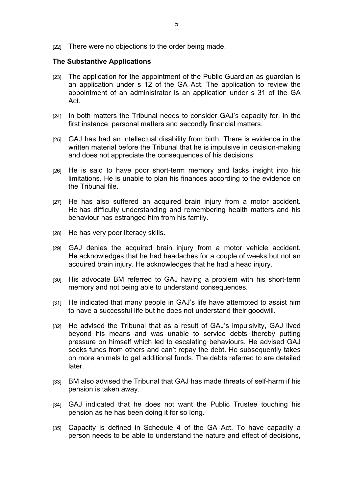[22] There were no objections to the order being made.

### **The Substantive Applications**

- [23] The application for the appointment of the Public Guardian as guardian is an application under s 12 of the GA Act. The application to review the appointment of an administrator is an application under s 31 of the GA Act.
- [24] In both matters the Tribunal needs to consider GAJ's capacity for, in the first instance, personal matters and secondly financial matters.
- [25] GAJ has had an intellectual disability from birth. There is evidence in the written material before the Tribunal that he is impulsive in decision-making and does not appreciate the consequences of his decisions.
- [26] He is said to have poor short-term memory and lacks insight into his limitations. He is unable to plan his finances according to the evidence on the Tribunal file.
- [27] He has also suffered an acquired brain injury from a motor accident. He has difficulty understanding and remembering health matters and his behaviour has estranged him from his family.
- [28] He has very poor literacy skills.
- [29] GAJ denies the acquired brain injury from a motor vehicle accident. He acknowledges that he had headaches for a couple of weeks but not an acquired brain injury. He acknowledges that he had a head injury.
- [30] His advocate BM referred to GAJ having a problem with his short-term memory and not being able to understand consequences.
- [31] He indicated that many people in GAJ's life have attempted to assist him to have a successful life but he does not understand their goodwill.
- [32] He advised the Tribunal that as a result of GAJ's impulsivity, GAJ lived beyond his means and was unable to service debts thereby putting pressure on himself which led to escalating behaviours. He advised GAJ seeks funds from others and can't repay the debt. He subsequently takes on more animals to get additional funds. The debts referred to are detailed later.
- [33] BM also advised the Tribunal that GAJ has made threats of self-harm if his pension is taken away.
- [34] GAJ indicated that he does not want the Public Trustee touching his pension as he has been doing it for so long.
- [35] Capacity is defined in Schedule 4 of the GA Act. To have capacity a person needs to be able to understand the nature and effect of decisions,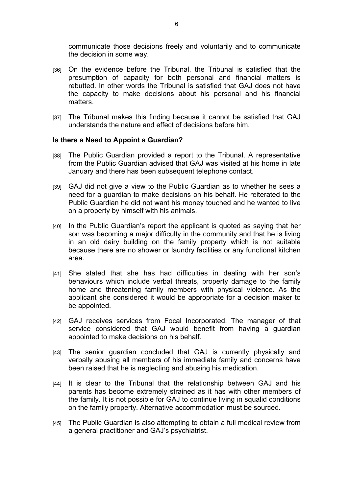communicate those decisions freely and voluntarily and to communicate the decision in some way.

- [36] On the evidence before the Tribunal, the Tribunal is satisfied that the presumption of capacity for both personal and financial matters is rebutted. In other words the Tribunal is satisfied that GAJ does not have the capacity to make decisions about his personal and his financial matters.
- [37] The Tribunal makes this finding because it cannot be satisfied that GAJ understands the nature and effect of decisions before him.

### **Is there a Need to Appoint a Guardian?**

- [38] The Public Guardian provided a report to the Tribunal. A representative from the Public Guardian advised that GAJ was visited at his home in late January and there has been subsequent telephone contact.
- [39] GAJ did not give a view to the Public Guardian as to whether he sees a need for a guardian to make decisions on his behalf. He reiterated to the Public Guardian he did not want his money touched and he wanted to live on a property by himself with his animals.
- [40] In the Public Guardian's report the applicant is quoted as saying that her son was becoming a major difficulty in the community and that he is living in an old dairy building on the family property which is not suitable because there are no shower or laundry facilities or any functional kitchen area.
- [41] She stated that she has had difficulties in dealing with her son's behaviours which include verbal threats, property damage to the family home and threatening family members with physical violence. As the applicant she considered it would be appropriate for a decision maker to be appointed.
- [42] GAJ receives services from Focal Incorporated. The manager of that service considered that GAJ would benefit from having a guardian appointed to make decisions on his behalf.
- [43] The senior guardian concluded that GAJ is currently physically and verbally abusing all members of his immediate family and concerns have been raised that he is neglecting and abusing his medication.
- [44] It is clear to the Tribunal that the relationship between GAJ and his parents has become extremely strained as it has with other members of the family. It is not possible for GAJ to continue living in squalid conditions on the family property. Alternative accommodation must be sourced.
- [45] The Public Guardian is also attempting to obtain a full medical review from a general practitioner and GAJ's psychiatrist.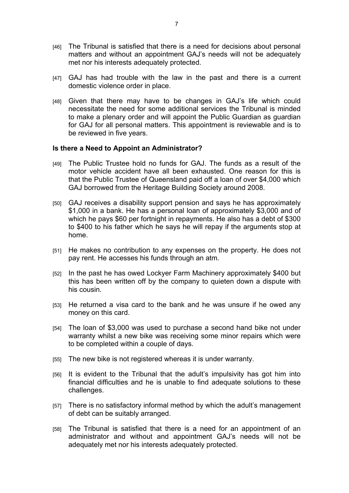- [46] The Tribunal is satisfied that there is a need for decisions about personal matters and without an appointment GAJ's needs will not be adequately met nor his interests adequately protected.
- [47] GAJ has had trouble with the law in the past and there is a current domestic violence order in place.
- [48] Given that there may have to be changes in GAJ's life which could necessitate the need for some additional services the Tribunal is minded to make a plenary order and will appoint the Public Guardian as guardian for GAJ for all personal matters. This appointment is reviewable and is to be reviewed in five years.

#### **Is there a Need to Appoint an Administrator?**

- [49] The Public Trustee hold no funds for GAJ. The funds as a result of the motor vehicle accident have all been exhausted. One reason for this is that the Public Trustee of Queensland paid off a loan of over \$4,000 which GAJ borrowed from the Heritage Building Society around 2008.
- [50] GAJ receives a disability support pension and says he has approximately \$1,000 in a bank. He has a personal loan of approximately \$3,000 and of which he pays \$60 per fortnight in repayments. He also has a debt of \$300 to \$400 to his father which he says he will repay if the arguments stop at home.
- [51] He makes no contribution to any expenses on the property. He does not pay rent. He accesses his funds through an atm.
- [52] In the past he has owed Lockyer Farm Machinery approximately \$400 but this has been written off by the company to quieten down a dispute with his cousin.
- [53] He returned a visa card to the bank and he was unsure if he owed any money on this card.
- [54] The loan of \$3,000 was used to purchase a second hand bike not under warranty whilst a new bike was receiving some minor repairs which were to be completed within a couple of days.
- [55] The new bike is not registered whereas it is under warranty.
- [56] It is evident to the Tribunal that the adult's impulsivity has got him into financial difficulties and he is unable to find adequate solutions to these challenges.
- [57] There is no satisfactory informal method by which the adult's management of debt can be suitably arranged.
- [58] The Tribunal is satisfied that there is a need for an appointment of an administrator and without and appointment GAJ's needs will not be adequately met nor his interests adequately protected.